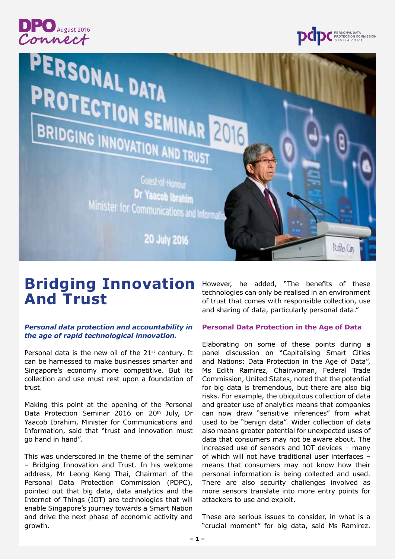



Rafles City

# PERSONAL DATA PROTECTION SEMINAR 2016 BRIDGING INNOVATION AND TRUST

## Guest-of-Honour Dr Yaacob Ibrahim Minister for Communications and Informati

**20 July 2016** 

# **Bridging Innovation And Trust**

## *Personal data protection and accountability in the age of rapid technological innovation.*

Personal data is the new oil of the  $21<sup>st</sup>$  century. It can be harnessed to make businesses smarter and Singapore's economy more competitive. But its collection and use must rest upon a foundation of trust.

Making this point at the opening of the Personal Data Protection Seminar 2016 on 20<sup>th</sup> July, Dr Yaacob Ibrahim, Minister for Communications and Information, said that "trust and innovation must go hand in hand".

This was underscored in the theme of the seminar – Bridging Innovation and Trust. In his welcome address, Mr Leong Keng Thai, Chairman of the Personal Data Protection Commission (PDPC), pointed out that big data, data analytics and the Internet of Things (IOT) are technologies that will enable Singapore's journey towards a Smart Nation and drive the next phase of economic activity and growth.

However, he added, "The benefits of these technologies can only be realised in an environment of trust that comes with responsible collection, use and sharing of data, particularly personal data."

#### **Personal Data Protection in the Age of Data**

Elaborating on some of these points during a panel discussion on "Capitalising Smart Cities and Nations: Data Protection in the Age of Data", Ms Edith Ramirez, Chairwoman, Federal Trade Commission, United States, noted that the potential for big data is tremendous, but there are also big risks. For example, the ubiquitous collection of data and greater use of analytics means that companies can now draw "sensitive inferences" from what used to be "benign data". Wider collection of data also means greater potential for unexpected uses of data that consumers may not be aware about. The increased use of sensors and IOT devices – many of which will not have traditional user interfaces – means that consumers may not know how their personal information is being collected and used. There are also security challenges involved as more sensors translate into more entry points for attackers to use and exploit.

These are serious issues to consider, in what is a "crucial moment" for big data, said Ms Ramirez.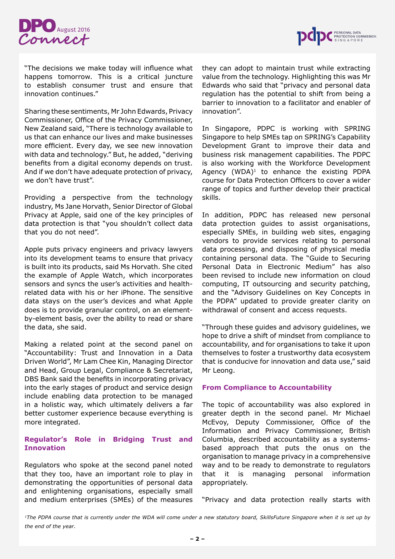



"The decisions we make today will influence what happens tomorrow. This is a critical juncture to establish consumer trust and ensure that innovation continues."

Sharing these sentiments, Mr John Edwards, Privacy Commissioner, Office of the Privacy Commissioner, New Zealand said, "There is technology available to us that can enhance our lives and make businesses more efficient. Every day, we see new innovation with data and technology." But, he added, "deriving benefits from a digital economy depends on trust. And if we don't have adequate protection of privacy, we don't have trust".

Providing a perspective from the technology industry, Ms Jane Horvath, Senior Director of Global Privacy at Apple, said one of the key principles of data protection is that "you shouldn't collect data that you do not need".

Apple puts privacy engineers and privacy lawyers into its development teams to ensure that privacy is built into its products, said Ms Horvath. She cited the example of Apple Watch, which incorporates sensors and syncs the user's activities and healthrelated data with his or her iPhone. The sensitive data stays on the user's devices and what Apple does is to provide granular control, on an elementby-element basis, over the ability to read or share the data, she said.

Making a related point at the second panel on "Accountability: Trust and Innovation in a Data Driven World", Mr Lam Chee Kin, Managing Director and Head, Group Legal, Compliance & Secretariat, DBS Bank said the benefits in incorporating privacy into the early stages of product and service design include enabling data protection to be managed in a holistic way, which ultimately delivers a far better customer experience because everything is more integrated.

### **Regulator's Role in Bridging Trust and Innovation**

Regulators who spoke at the second panel noted that they too, have an important role to play in demonstrating the opportunities of personal data and enlightening organisations, especially small and medium enterprises (SMEs) of the measures they can adopt to maintain trust while extracting value from the technology. Highlighting this was Mr Edwards who said that "privacy and personal data regulation has the potential to shift from being a barrier to innovation to a facilitator and enabler of innovation".

In Singapore, PDPC is working with SPRING Singapore to help SMEs tap on SPRING's Capability Development Grant to improve their data and business risk management capabilities. The PDPC is also working with the Workforce Development Agency  $(WDA)^1$  to enhance the existing PDPA course for Data Protection Officers to cover a wider range of topics and further develop their practical skills.

In addition, PDPC has released new personal data protection guides to assist organisations, especially SMEs, in building web sites, engaging vendors to provide services relating to personal data processing, and disposing of physical media containing personal data. The "Guide to Securing Personal Data in Electronic Medium" has also been revised to include new information on cloud computing, IT outsourcing and security patching, and the "Advisory Guidelines on Key Concepts in the PDPA" updated to provide greater clarity on withdrawal of consent and access requests.

"Through these guides and advisory guidelines, we hope to drive a shift of mindset from compliance to accountability, and for organisations to take it upon themselves to foster a trustworthy data ecosystem that is conducive for innovation and data use," said Mr Leong.

#### **From Compliance to Accountability**

The topic of accountability was also explored in greater depth in the second panel. Mr Michael McEvoy, Deputy Commissioner, Office of the Information and Privacy Commissioner, British Columbia, described accountability as a systemsbased approach that puts the onus on the organisation to manage privacy in a comprehensive way and to be ready to demonstrate to regulators that it is managing personal information appropriately.

"Privacy and data protection really starts with

*1The PDPA course that is currently under the WDA will come under a new statutory board, SkillsFuture Singapore when it is set up by the end of the year.*